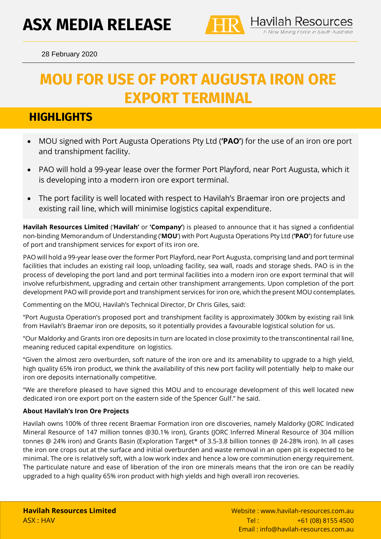

<sup>28</sup> February 2020

# **MOU FOR USE OF PORT AUGUSTA IRON ORE EXPORT TERMINAL**

## **HIGHLIGHTS**

- MOU signed with Port Augusta Operations Pty Ltd (**'PAO'**) for the use of an iron ore port and transhipment facility.
- PAO will hold a 99-year lease over the former Port Playford, near Port Augusta, which it is developing into a modern iron ore export terminal.
- The port facility is well located with respect to Havilah's Braemar iron ore projects and existing rail line, which will minimise logistics capital expenditure.

**Havilah Resources Limited** ('**Havilah'** or **'Company'**) is pleased to announce that it has signed a confidential non-binding Memorandum of Understanding ('**MOU**') with Port Augusta Operations Pty Ltd (**'PAO'**) for future use of port and transhipment services for export of its iron ore.

PAO will hold a 99-year lease over the former Port Playford, near Port Augusta, comprising land and port terminal facilities that includes an existing rail loop, unloading facility, sea wall, roads and storage sheds. PAO is in the process of developing the port land and port terminal facilities into a modern iron ore export terminal that will involve refurbishment, upgrading and certain other transhipment arrangements. Upon completion of the port development PAO will provide port and transhipment services for iron ore, which the present MOU contemplates.

Commenting on the MOU, Havilah's Technical Director, Dr Chris Giles, said:

"Port Augusta Operation's proposed port and transhipment facility is approximately 300km by existing rail link from Havilah's Braemar iron ore deposits, so it potentially provides a favourable logistical solution for us.

"Our Maldorky and Grants iron ore deposits in turn are located in close proximity to the transcontinental rail line, meaning reduced capital expenditure on logistics.

"Given the almost zero overburden, soft nature of the iron ore and its amenability to upgrade to a high yield, high quality 65% iron product, we think the availability of this new port facility will potentially help to make our iron ore deposits internationally competitive.

"We are therefore pleased to have signed this MOU and to encourage development of this well located new dedicated iron ore export port on the eastern side of the Spencer Gulf." he said.

#### **About Havilah's Iron Ore Projects**

Havilah owns 100% of three recent Braemar Formation iron ore discoveries, namely Maldorky (JORC Indicated Mineral Resource of 147 million tonnes @30.1% iron), Grants (JORC Inferred Mineral Resource of 304 million tonnes @ 24% iron) and Grants Basin (Exploration Target\* of 3.5-3.8 billion tonnes @ 24-28% iron). In all cases the iron ore crops out at the surface and initial overburden and waste removal in an open pit is expected to be minimal. The ore is relatively soft, with a low work index and hence a low ore comminution energy requirement. The particulate nature and ease of liberation of the iron ore minerals means that the iron ore can be readily upgraded to a high quality 65% iron product with high yields and high overall iron recoveries.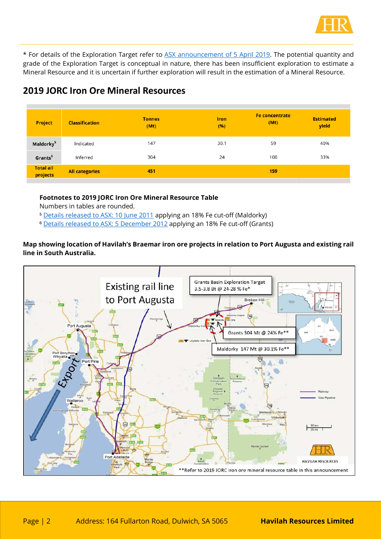

\* For details of the Exploration Target refer to [ASX announcement of 5 April 2019.](https://www.asx.com.au/asxpdf/20190405/pdf/444322kc9kkf42.pdf) The potential quantity and grade of the Exploration Target is conceptual in nature, there has been insufficient exploration to estimate a Mineral Resource and it is uncertain if further exploration will result in the estimation of a Mineral Resource.

### **2019 JORC Iron Ore Mineral Resources**

| <b>Project</b>               | <b>Classification</b> | <b>Tonnes</b><br>(Mt) | <b>Iron</b><br>(%) | <b>Fe concentrate</b><br>(Mt) | <b>Estimated</b><br>yield |
|------------------------------|-----------------------|-----------------------|--------------------|-------------------------------|---------------------------|
| Maldorky <sup>5</sup>        | Indicated             | 147                   | 30.1               | 59                            | 40%                       |
| Grants <sup>6</sup>          | Inferred              | 304                   | 24                 | 100                           | 33%                       |
| <b>Total all</b><br>projects | <b>All categories</b> | 451                   |                    | 159                           |                           |

#### **Footnotes to 2019 JORC Iron Ore Mineral Resource Table**

Numbers in tables are rounded.

<sup>5</sup> [Details released to ASX: 10 June 2011](https://www.asx.com.au/asxpdf/20110610/pdf/41z4w4lt6xc9r3.pdf) applying an 18% Fe cut-off (Maldorky)

⁶ [Details released to ASX: 5 December 2012](https://www.asx.com.au/asxpdf/20121205/pdf/42bqznjy47lpjp.pdf) applying an 18% Fe cut-off (Grants)

#### **Map showing location of Havilah's Braemar iron ore projects in relation to Port Augusta and existing rail line in South Australia.**